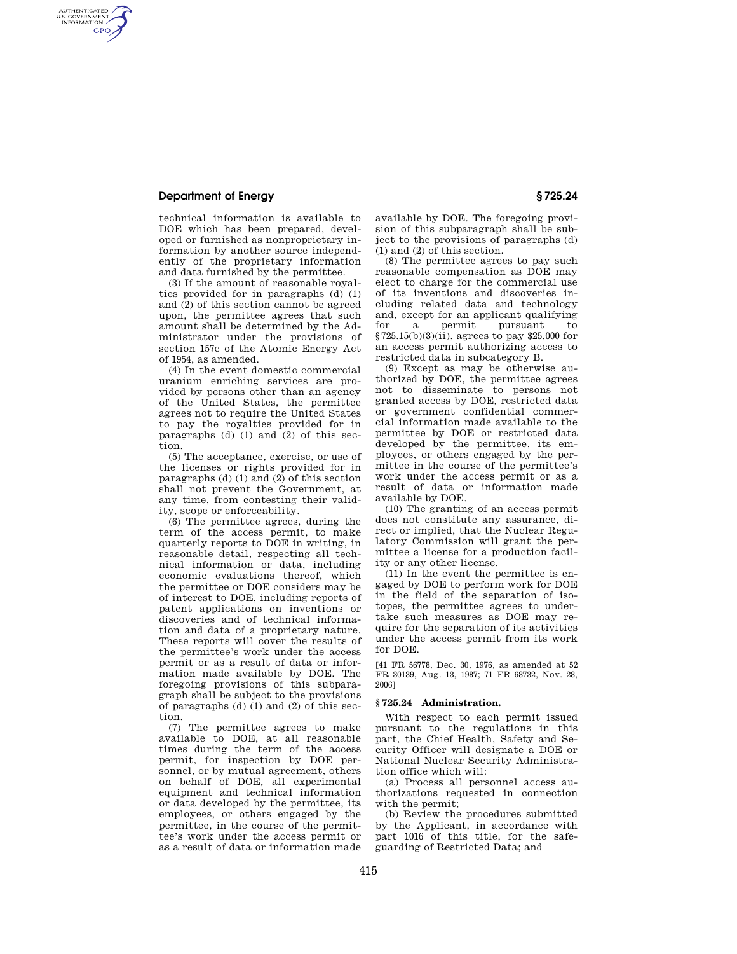# **Department of Energy § 725.24**

AUTHENTICATED<br>U.S. GOVERNMENT<br>INFORMATION **GPO** 

> technical information is available to DOE which has been prepared, developed or furnished as nonproprietary information by another source independently of the proprietary information and data furnished by the permittee.

> (3) If the amount of reasonable royalties provided for in paragraphs (d) (1) and (2) of this section cannot be agreed upon, the permittee agrees that such amount shall be determined by the Administrator under the provisions of section 157c of the Atomic Energy Act of 1954, as amended.

> (4) In the event domestic commercial uranium enriching services are provided by persons other than an agency of the United States, the permittee agrees not to require the United States to pay the royalties provided for in paragraphs (d)  $(1)$  and  $(2)$  of this section.

> (5) The acceptance, exercise, or use of the licenses or rights provided for in paragraphs (d)  $(1)$  and  $(2)$  of this section shall not prevent the Government, at any time, from contesting their validity, scope or enforceability.

> (6) The permittee agrees, during the term of the access permit, to make quarterly reports to DOE in writing, in reasonable detail, respecting all technical information or data, including economic evaluations thereof, which the permittee or DOE considers may be of interest to DOE, including reports of patent applications on inventions or discoveries and of technical information and data of a proprietary nature. These reports will cover the results of the permittee's work under the access permit or as a result of data or information made available by DOE. The foregoing provisions of this subparagraph shall be subject to the provisions of paragraphs (d) (1) and (2) of this section.

> (7) The permittee agrees to make available to DOE, at all reasonable times during the term of the access permit, for inspection by DOE personnel, or by mutual agreement, others on behalf of DOE, all experimental equipment and technical information or data developed by the permittee, its employees, or others engaged by the permittee, in the course of the permittee's work under the access permit or as a result of data or information made

available by DOE. The foregoing provision of this subparagraph shall be subject to the provisions of paragraphs (d) (1) and (2) of this section.

(8) The permittee agrees to pay such reasonable compensation as DOE may elect to charge for the commercial use of its inventions and discoveries including related data and technology and, except for an applicant qualifying<br>for a permit pursuant to for a permit pursuant to §725.15(b)(3)(ii), agrees to pay \$25,000 for an access permit authorizing access to restricted data in subcategory B.

(9) Except as may be otherwise authorized by DOE, the permittee agrees not to disseminate to persons not granted access by DOE, restricted data or government confidential commercial information made available to the permittee by DOE or restricted data developed by the permittee, its employees, or others engaged by the permittee in the course of the permittee's work under the access permit or as a result of data or information made available by DOE.

(10) The granting of an access permit does not constitute any assurance, direct or implied, that the Nuclear Regulatory Commission will grant the permittee a license for a production facility or any other license.

(11) In the event the permittee is engaged by DOE to perform work for DOE in the field of the separation of isotopes, the permittee agrees to undertake such measures as DOE may require for the separation of its activities under the access permit from its work for DOE.

[41 FR 56778, Dec. 30, 1976, as amended at 52 FR 30139, Aug. 13, 1987; 71 FR 68732, Nov. 28, 2006]

# **§ 725.24 Administration.**

With respect to each permit issued pursuant to the regulations in this part, the Chief Health, Safety and Security Officer will designate a DOE or National Nuclear Security Administration office which will:

(a) Process all personnel access authorizations requested in connection with the permit;

(b) Review the procedures submitted by the Applicant, in accordance with part 1016 of this title, for the safeguarding of Restricted Data; and